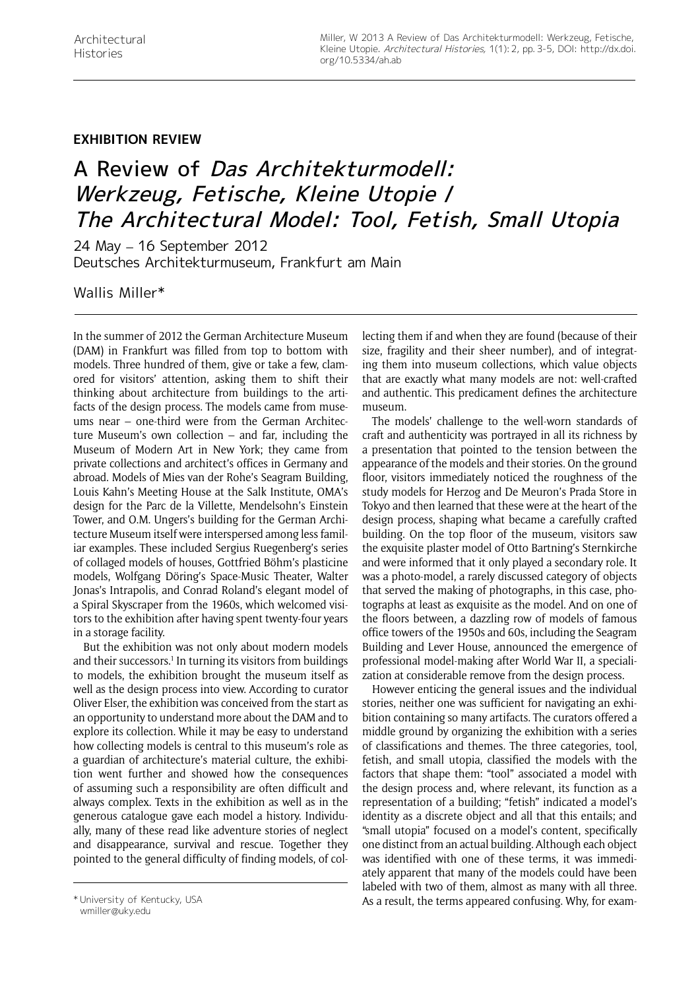## **Exhibition Review**

## A Review of Das Architekturmodell: Werkzeug, Fetische, Kleine Utopie / The Architectural Model: Tool, Fetish, Small Utopia

24 May – 16 September 2012 Deutsches Architekturmuseum, Frankfurt am Main

Wallis Miller\*

In the summer of 2012 the German Architecture Museum (DAM) in Frankfurt was filled from top to bottom with models. Three hundred of them, give or take a few, clamored for visitors' attention, asking them to shift their thinking about architecture from buildings to the artifacts of the design process. The models came from museums near – one-third were from the German Architecture Museum's own collection – and far, including the Museum of Modern Art in New York; they came from private collections and architect's offices in Germany and abroad. Models of Mies van der Rohe's Seagram Building, Louis Kahn's Meeting House at the Salk Institute, OMA's design for the Parc de la Villette, Mendelsohn's Einstein Tower, and O.M. Ungers's building for the German Architecture Museum itself were interspersed among less familiar examples. These included Sergius Ruegenberg's series of collaged models of houses, Gottfried Böhm's plasticine models, Wolfgang Döring's Space-Music Theater, Walter Jonas's Intrapolis, and Conrad Roland's elegant model of a Spiral Skyscraper from the 1960s, which welcomed visitors to the exhibition after having spent twenty-four years in a storage facility.

But the exhibition was not only about modern models and their successors.<sup>1</sup> In turning its visitors from buildings to models, the exhibition brought the museum itself as well as the design process into view. According to curator Oliver Elser, the exhibition was conceived from the start as an opportunity to understand more about the DAM and to explore its collection. While it may be easy to understand how collecting models is central to this museum's role as a guardian of architecture's material culture, the exhibition went further and showed how the consequences of assuming such a responsibility are often difficult and always complex. Texts in the exhibition as well as in the generous catalogue gave each model a history. Individually, many of these read like adventure stories of neglect and disappearance, survival and rescue. Together they pointed to the general difficulty of finding models, of collecting them if and when they are found (because of their size, fragility and their sheer number), and of integrating them into museum collections, which value objects that are exactly what many models are not: well-crafted and authentic. This predicament defines the architecture museum.

The models' challenge to the well-worn standards of craft and authenticity was portrayed in all its richness by a presentation that pointed to the tension between the appearance of the models and their stories. On the ground floor, visitors immediately noticed the roughness of the study models for Herzog and De Meuron's Prada Store in Tokyo and then learned that these were at the heart of the design process, shaping what became a carefully crafted building. On the top floor of the museum, visitors saw the exquisite plaster model of Otto Bartning's Sternkirche and were informed that it only played a secondary role. It was a photo-model, a rarely discussed category of objects that served the making of photographs, in this case, photographs at least as exquisite as the model. And on one of the floors between, a dazzling row of models of famous office towers of the 1950s and 60s, including the Seagram Building and Lever House, announced the emergence of professional model-making after World War II, a specialization at considerable remove from the design process.

However enticing the general issues and the individual stories, neither one was sufficient for navigating an exhibition containing so many artifacts. The curators offered a middle ground by organizing the exhibition with a series of classifications and themes. The three categories, tool, fetish, and small utopia, classified the models with the factors that shape them: "tool" associated a model with the design process and, where relevant, its function as a representation of a building; "fetish" indicated a model's identity as a discrete object and all that this entails; and "small utopia" focused on a model's content, specifically one distinct from an actual building. Although each object was identified with one of these terms, it was immediately apparent that many of the models could have been labeled with two of them, almost as many with all three. \* University of Kentucky, USA **As a result, the terms appeared confusing. Why, for exam-** wmiller@uky.edu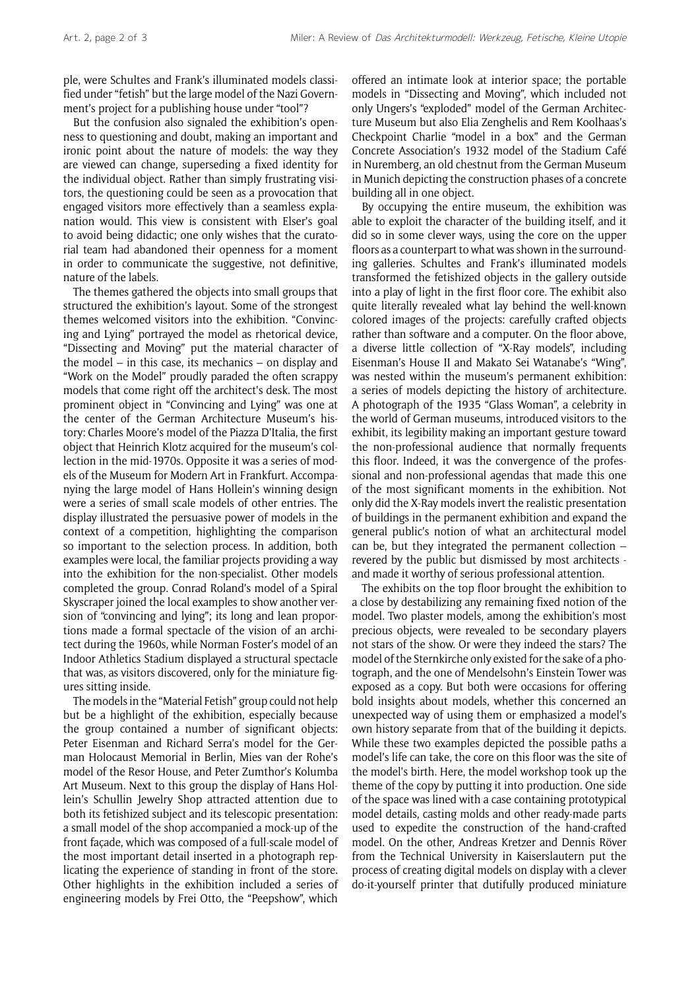ple, were Schultes and Frank's illuminated models classified under "fetish" but the large model of the Nazi Government's project for a publishing house under "tool"?

But the confusion also signaled the exhibition's openness to questioning and doubt, making an important and ironic point about the nature of models: the way they are viewed can change, superseding a fixed identity for the individual object. Rather than simply frustrating visitors, the questioning could be seen as a provocation that engaged visitors more effectively than a seamless explanation would. This view is consistent with Elser's goal to avoid being didactic; one only wishes that the curatorial team had abandoned their openness for a moment in order to communicate the suggestive, not definitive, nature of the labels.

The themes gathered the objects into small groups that structured the exhibition's layout. Some of the strongest themes welcomed visitors into the exhibition. "Convincing and Lying" portrayed the model as rhetorical device, "Dissecting and Moving" put the material character of the model – in this case, its mechanics – on display and "Work on the Model" proudly paraded the often scrappy models that come right off the architect's desk. The most prominent object in "Convincing and Lying" was one at the center of the German Architecture Museum's history: Charles Moore's model of the Piazza D'Italia, the first object that Heinrich Klotz acquired for the museum's collection in the mid-1970s. Opposite it was a series of models of the Museum for Modern Art in Frankfurt. Accompanying the large model of Hans Hollein's winning design were a series of small scale models of other entries. The display illustrated the persuasive power of models in the context of a competition, highlighting the comparison so important to the selection process. In addition, both examples were local, the familiar projects providing a way into the exhibition for the non-specialist. Other models completed the group. Conrad Roland's model of a Spiral Skyscraper joined the local examples to show another version of "convincing and lying"; its long and lean proportions made a formal spectacle of the vision of an architect during the 1960s, while Norman Foster's model of an Indoor Athletics Stadium displayed a structural spectacle that was, as visitors discovered, only for the miniature figures sitting inside.

The models in the "Material Fetish" group could not help but be a highlight of the exhibition, especially because the group contained a number of significant objects: Peter Eisenman and Richard Serra's model for the German Holocaust Memorial in Berlin, Mies van der Rohe's model of the Resor House, and Peter Zumthor's Kolumba Art Museum. Next to this group the display of Hans Hollein's Schullin Jewelry Shop attracted attention due to both its fetishized subject and its telescopic presentation: a small model of the shop accompanied a mock-up of the front façade, which was composed of a full-scale model of the most important detail inserted in a photograph replicating the experience of standing in front of the store. Other highlights in the exhibition included a series of engineering models by Frei Otto, the "Peepshow", which offered an intimate look at interior space; the portable models in "Dissecting and Moving", which included not only Ungers's "exploded" model of the German Architecture Museum but also Elia Zenghelis and Rem Koolhaas's Checkpoint Charlie "model in a box" and the German Concrete Association's 1932 model of the Stadium Café in Nuremberg, an old chestnut from the German Museum in Munich depicting the construction phases of a concrete building all in one object.

By occupying the entire museum, the exhibition was able to exploit the character of the building itself, and it did so in some clever ways, using the core on the upper floors as a counterpart to what was shown in the surrounding galleries. Schultes and Frank's illuminated models transformed the fetishized objects in the gallery outside into a play of light in the first floor core. The exhibit also quite literally revealed what lay behind the well-known colored images of the projects: carefully crafted objects rather than software and a computer. On the floor above, a diverse little collection of "X-Ray models", including Eisenman's House II and Makato Sei Watanabe's "Wing", was nested within the museum's permanent exhibition: a series of models depicting the history of architecture. A photograph of the 1935 "Glass Woman", a celebrity in the world of German museums, introduced visitors to the exhibit, its legibility making an important gesture toward the non-professional audience that normally frequents this floor. Indeed, it was the convergence of the professional and non-professional agendas that made this one of the most significant moments in the exhibition. Not only did the X-Ray models invert the realistic presentation of buildings in the permanent exhibition and expand the general public's notion of what an architectural model can be, but they integrated the permanent collection – revered by the public but dismissed by most architects and made it worthy of serious professional attention.

The exhibits on the top floor brought the exhibition to a close by destabilizing any remaining fixed notion of the model. Two plaster models, among the exhibition's most precious objects, were revealed to be secondary players not stars of the show. Or were they indeed the stars? The model of the Sternkirche only existed for the sake of a photograph, and the one of Mendelsohn's Einstein Tower was exposed as a copy. But both were occasions for offering bold insights about models, whether this concerned an unexpected way of using them or emphasized a model's own history separate from that of the building it depicts. While these two examples depicted the possible paths a model's life can take, the core on this floor was the site of the model's birth. Here, the model workshop took up the theme of the copy by putting it into production. One side of the space was lined with a case containing prototypical model details, casting molds and other ready-made parts used to expedite the construction of the hand-crafted model. On the other, Andreas Kretzer and Dennis Röver from the Technical University in Kaiserslautern put the process of creating digital models on display with a clever do-it-yourself printer that dutifully produced miniature